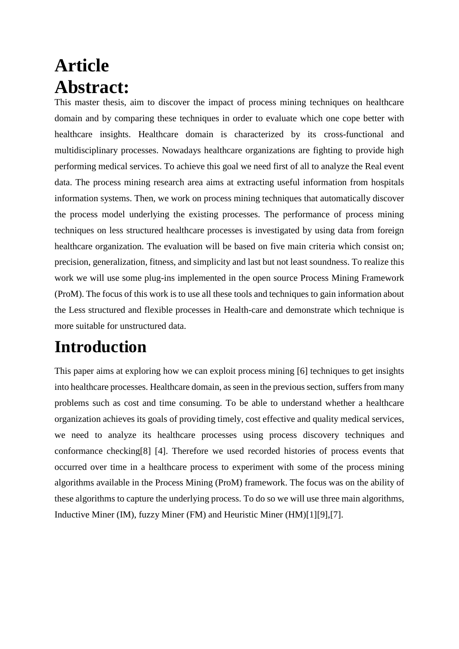# **Article Abstract:**

This master thesis, aim to discover the impact of process mining techniques on healthcare domain and by comparing these techniques in order to evaluate which one cope better with healthcare insights. Healthcare domain is characterized by its cross-functional and multidisciplinary processes. Nowadays healthcare organizations are fighting to provide high performing medical services. To achieve this goal we need first of all to analyze the Real event data. The process mining research area aims at extracting useful information from hospitals information systems. Then, we work on process mining techniques that automatically discover the process model underlying the existing processes. The performance of process mining techniques on less structured healthcare processes is investigated by using data from foreign healthcare organization. The evaluation will be based on five main criteria which consist on; precision, generalization, fitness, and simplicity and last but not least soundness. To realize this work we will use some plug-ins implemented in the open source Process Mining Framework (ProM). The focus of this work is to use all these tools and techniques to gain information about the Less structured and flexible processes in Health-care and demonstrate which technique is more suitable for unstructured data.

### **Introduction**

This paper aims at exploring how we can exploit process mining [6] techniques to get insights into healthcare processes. Healthcare domain, as seen in the previous section, suffers from many problems such as cost and time consuming. To be able to understand whether a healthcare organization achieves its goals of providing timely, cost effective and quality medical services, we need to analyze its healthcare processes using process discovery techniques and conformance checking[8] [4]. Therefore we used recorded histories of process events that occurred over time in a healthcare process to experiment with some of the process mining algorithms available in the Process Mining (ProM) framework. The focus was on the ability of these algorithms to capture the underlying process. To do so we will use three main algorithms, Inductive Miner (IM), fuzzy Miner (FM) and Heuristic Miner (HM)[1][9],[7].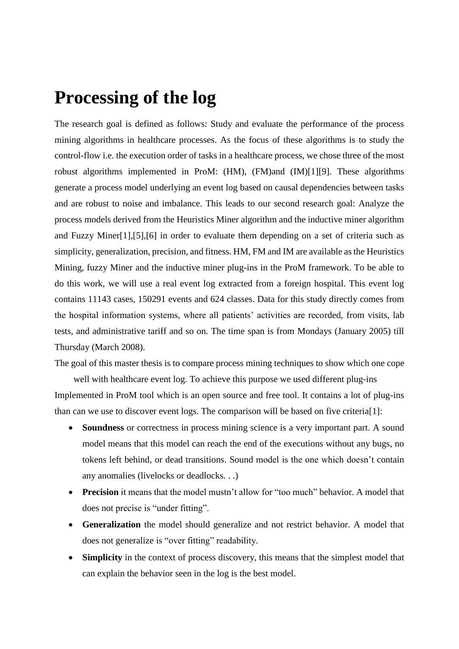#### **Processing of the log**

The research goal is defined as follows: Study and evaluate the performance of the process mining algorithms in healthcare processes. As the focus of these algorithms is to study the control-flow i.e. the execution order of tasks in a healthcare process, we chose three of the most robust algorithms implemented in ProM: (HM), (FM)and (IM)[1][9]. These algorithms generate a process model underlying an event log based on causal dependencies between tasks and are robust to noise and imbalance. This leads to our second research goal: Analyze the process models derived from the Heuristics Miner algorithm and the inductive miner algorithm and Fuzzy Miner[1],[5],[6] in order to evaluate them depending on a set of criteria such as simplicity, generalization, precision, and fitness. HM, FM and IM are available as the Heuristics Mining, fuzzy Miner and the inductive miner plug-ins in the ProM framework. To be able to do this work, we will use a real event log extracted from a foreign hospital. This event log contains 11143 cases, 150291 events and 624 classes. Data for this study directly comes from the hospital information systems, where all patients' activities are recorded, from visits, lab tests, and administrative tariff and so on. The time span is from Mondays (January 2005) till Thursday (March 2008).

The goal of this master thesis is to compare process mining techniques to show which one cope

well with healthcare event log. To achieve this purpose we used different plug-ins Implemented in ProM tool which is an open source and free tool. It contains a lot of plug-ins than can we use to discover event logs. The comparison will be based on five criteria[1]:

- **Soundness** or correctness in process mining science is a very important part. A sound model means that this model can reach the end of the executions without any bugs, no tokens left behind, or dead transitions. Sound model is the one which doesn't contain any anomalies (livelocks or deadlocks. . .)
- **Precision** it means that the model mustn't allow for "too much" behavior. A model that does not precise is "under fitting".
- **Generalization** the model should generalize and not restrict behavior. A model that does not generalize is "over fitting" readability.
- **Simplicity** in the context of process discovery, this means that the simplest model that can explain the behavior seen in the log is the best model.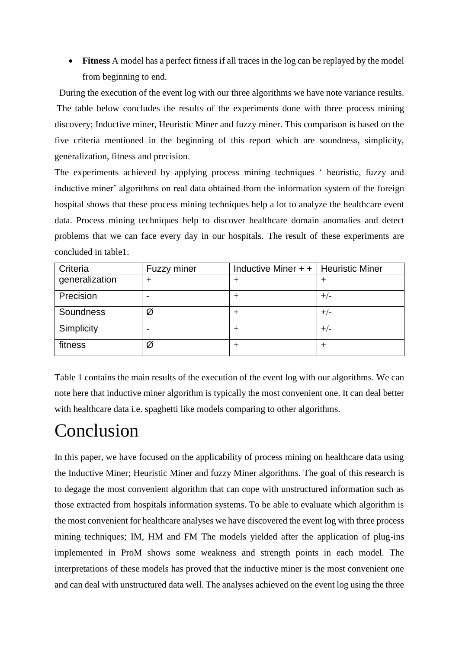**Fitness** A model has a perfect fitness if all traces in the log can be replayed by the model from beginning to end.

 During the execution of the event log with our three algorithms we have note variance results. The table below concludes the results of the experiments done with three process mining discovery; Inductive miner, Heuristic Miner and fuzzy miner. This comparison is based on the five criteria mentioned in the beginning of this report which are soundness, simplicity, generalization, fitness and precision.

The experiments achieved by applying process mining techniques ' heuristic, fuzzy and inductive miner' algorithms on real data obtained from the information system of the foreign hospital shows that these process mining techniques help a lot to analyze the healthcare event data. Process mining techniques help to discover healthcare domain anomalies and detect problems that we can face every day in our hospitals. The result of these experiments are concluded in table1.

| Criteria       | Fuzzy miner | Inductive Miner $++$   Heuristic Miner |       |
|----------------|-------------|----------------------------------------|-------|
| generalization | ┿           | $^+$                                   |       |
| Precision      |             |                                        | $+/-$ |
| Soundness      | Ø           | $^+$                                   | $+/-$ |
| Simplicity     |             |                                        | $+/-$ |
| fitness        | Ø           | $^+$                                   |       |

Table 1 contains the main results of the execution of the event log with our algorithms. We can note here that inductive miner algorithm is typically the most convenient one. It can deal better with healthcare data i.e. spaghetti like models comparing to other algorithms.

## Conclusion

In this paper, we have focused on the applicability of process mining on healthcare data using the Inductive Miner; Heuristic Miner and fuzzy Miner algorithms. The goal of this research is to degage the most convenient algorithm that can cope with unstructured information such as those extracted from hospitals information systems. To be able to evaluate which algorithm is the most convenient for healthcare analyses we have discovered the event log with three process mining techniques; IM, HM and FM The models yielded after the application of plug-ins implemented in ProM shows some weakness and strength points in each model. The interpretations of these models has proved that the inductive miner is the most convenient one and can deal with unstructured data well. The analyses achieved on the event log using the three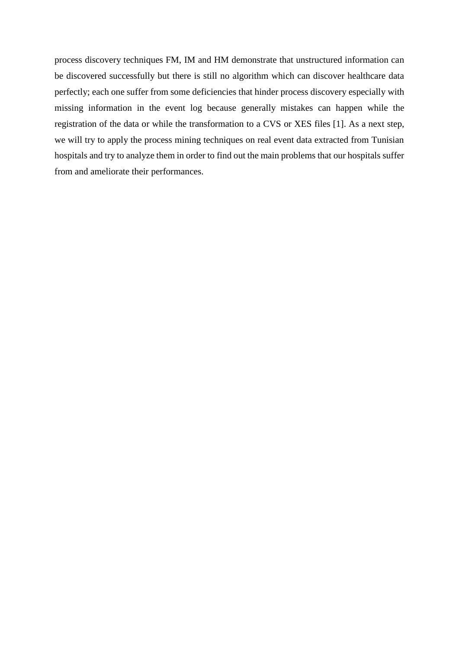process discovery techniques FM, IM and HM demonstrate that unstructured information can be discovered successfully but there is still no algorithm which can discover healthcare data perfectly; each one suffer from some deficiencies that hinder process discovery especially with missing information in the event log because generally mistakes can happen while the registration of the data or while the transformation to a CVS or XES files [1]. As a next step, we will try to apply the process mining techniques on real event data extracted from Tunisian hospitals and try to analyze them in order to find out the main problems that our hospitals suffer from and ameliorate their performances.